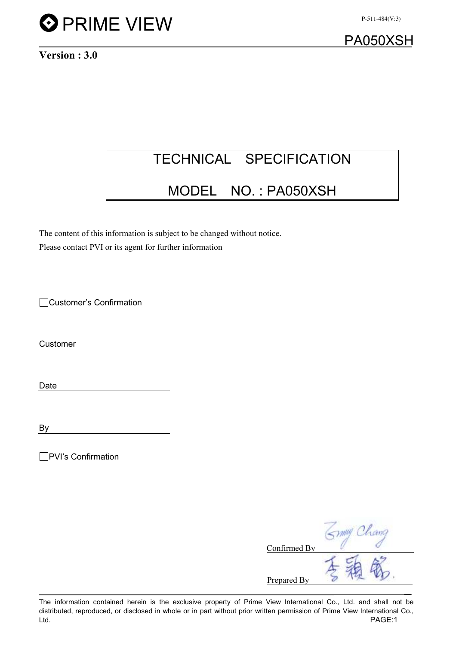

PA050XSH

Version : 3.0

# TECHNICAL SPECIFICATION

# MODEL NO. : PA050XSH

The content of this information is subject to be changed without notice. Please contact PVI or its agent for further information

Customer's Confirmation

Customer

Date

By

□PVI's Confirmation

| Confirmed By |  |
|--------------|--|
| Prepared By  |  |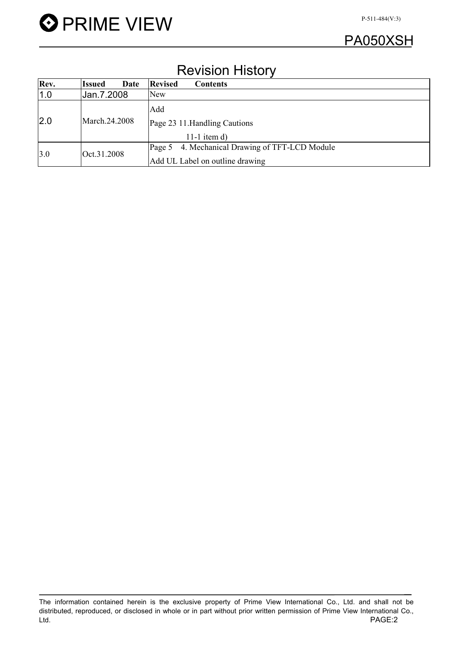

## Revision History

| Rev. | Date<br><b>Issued</b> | <b>Revised</b><br><b>Contents</b>                 |
|------|-----------------------|---------------------------------------------------|
| 1.0  | Jan.7.2008            | New                                               |
|      |                       | Add                                               |
| 2.0  | March.24.2008         | Page 23 11. Handling Cautions                     |
|      |                       | 11-1 item $d$ )                                   |
| 3.0  | Oct.31.2008           | 4. Mechanical Drawing of TFT-LCD Module<br>Page 5 |
|      |                       | Add UL Label on outline drawing                   |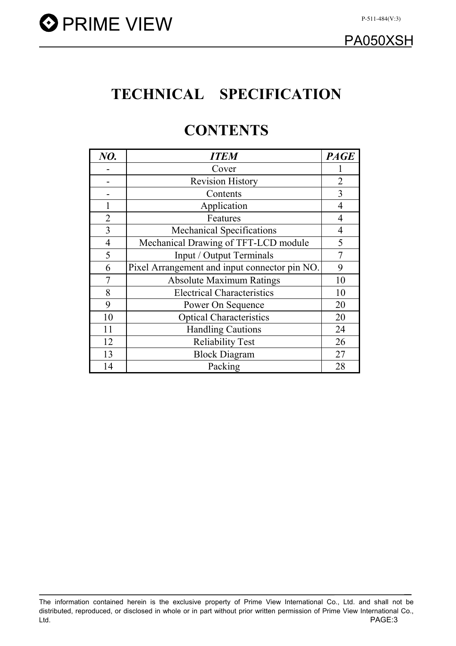# TECHNICAL SPECIFICATION

# **CONTENTS**

| NO.            | <b>ITEM</b>                                   | <b>PAGE</b>    |
|----------------|-----------------------------------------------|----------------|
|                | Cover                                         |                |
|                | <b>Revision History</b>                       | $\overline{2}$ |
|                | Contents                                      | 3              |
|                | Application                                   | 4              |
| $\overline{2}$ | Features                                      | $\overline{4}$ |
| 3              | <b>Mechanical Specifications</b>              | $\overline{4}$ |
| $\overline{4}$ | Mechanical Drawing of TFT-LCD module          | 5              |
| 5              | Input / Output Terminals                      | $\overline{7}$ |
| 6              | Pixel Arrangement and input connector pin NO. | 9              |
|                | <b>Absolute Maximum Ratings</b>               | 10             |
| 8              | <b>Electrical Characteristics</b>             | 10             |
| 9              | Power On Sequence                             | 20             |
| 10             | <b>Optical Characteristics</b>                | 20             |
| 11             | <b>Handling Cautions</b>                      | 24             |
| 12             | <b>Reliability Test</b>                       | 26             |
| 13             | <b>Block Diagram</b>                          | 27             |
| 14             | Packing                                       | 28             |

The information contained herein is the exclusive property of Prime View International Co., Ltd. and shall not be distributed, reproduced, or disclosed in whole or in part without prior written permission of Prime View International Co., Ltd. PAGE:3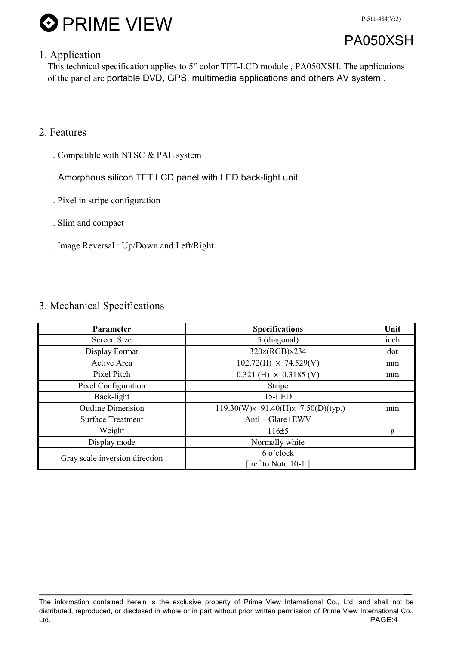



### 1. Application

This technical specification applies to 5" color TFT-LCD module , PA050XSH. The applications of the panel are portable DVD, GPS, multimedia applications and others AV system..

### 2. Features

- . Compatible with NTSC & PAL system
- . Amorphous silicon TFT LCD panel with LED back-light unit
- . Pixel in stripe configuration
- . Slim and compact
- . Image Reversal : Up/Down and Left/Right

#### 3. Mechanical Specifications

| <b>Parameter</b>               | <b>Specifications</b>                            | Unit |
|--------------------------------|--------------------------------------------------|------|
| Screen Size                    | 5 (diagonal)                                     | inch |
| Display Format                 | 320x(RGB)x234                                    | dot  |
| Active Area                    | $102.72(H) \times 74.529(V)$                     | mm   |
| Pixel Pitch                    | $0.321$ (H) $\times$ 0.3185 (V)                  | mm   |
| Pixel Configuration            | Stripe                                           |      |
| Back-light                     | $15$ -LED                                        |      |
| <b>Outline Dimension</b>       | $119.30(W) \times 91.40(H) \times 7.50(D)(typ.)$ | mm   |
| <b>Surface Treatment</b>       | Anti - Glare+EWV                                 |      |
| Weight                         | $116 \pm 5$                                      | g    |
| Display mode                   | Normally white                                   |      |
| Gray scale inversion direction | 6 o'clock                                        |      |
|                                | [ ref to Note $10-1$ ]                           |      |

The information contained herein is the exclusive property of Prime View International Co., Ltd. and shall not be distributed, reproduced, or disclosed in whole or in part without prior written permission of Prime View International Co., Ltd. PAGE:4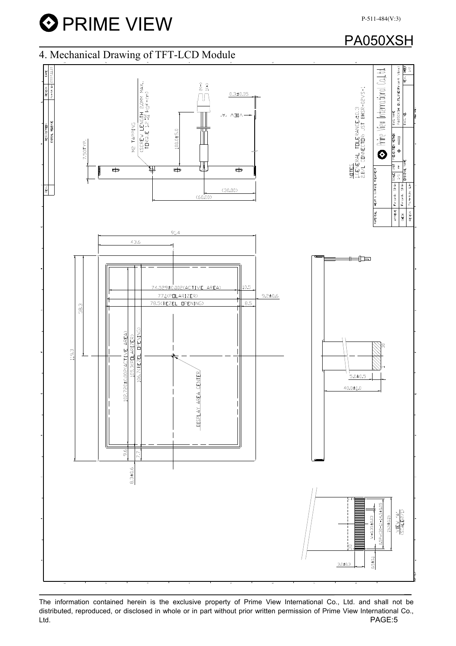**O** PRIME VIEW

### PA050XSH



The information contained herein is the exclusive property of Prime View International Co., Ltd. and shall not be distributed, reproduced, or disclosed in whole or in part without prior written permission of Prime View International Co., Ltd. PAGE:5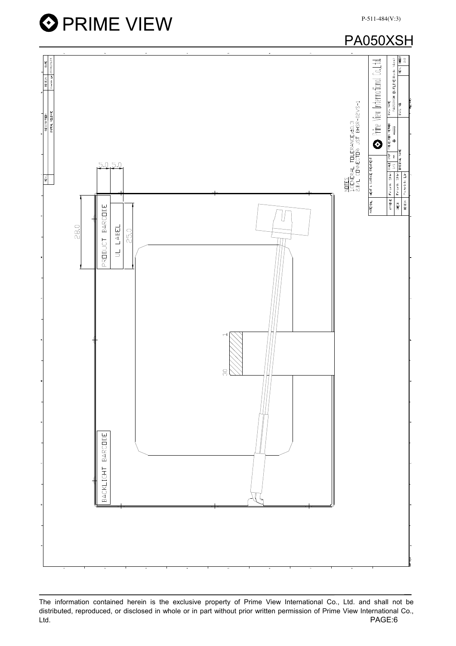





The information contained herein is the exclusive property of Prime View International Co., Ltd. and shall not be distributed, reproduced, or disclosed in whole or in part without prior written permission of Prime View International Co., Ltd. PAGE:6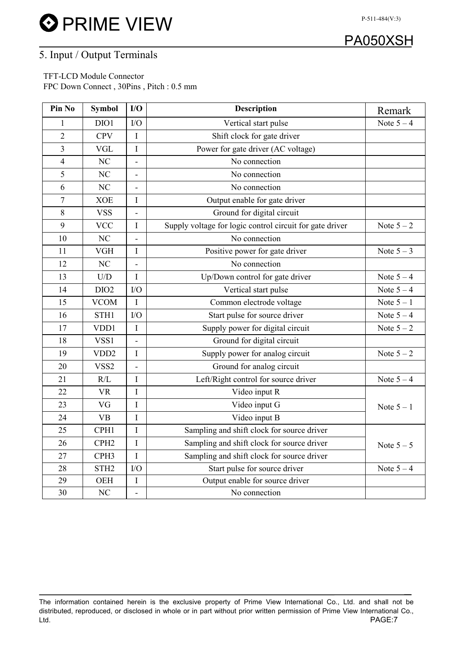**O** PRIME VIEW



P-511-484(V:3)

### 5. Input / Output Terminals

 TFT-LCD Module Connector FPC Down Connect , 30Pins , Pitch : 0.5 mm

| Pin No         | <b>Symbol</b>           | I/O                      | <b>Description</b>                                       | Remark       |
|----------------|-------------------------|--------------------------|----------------------------------------------------------|--------------|
| 1              | DIO1                    | I/O                      | Vertical start pulse                                     | Note $5 - 4$ |
| $\overline{2}$ | <b>CPV</b>              | $\bf I$                  | Shift clock for gate driver                              |              |
| $\overline{3}$ | <b>VGL</b>              | $\mathbf I$              | Power for gate driver (AC voltage)                       |              |
| $\overline{4}$ | NC                      | $\blacksquare$           | No connection                                            |              |
| 5              | N <sub>C</sub>          | $\blacksquare$           | No connection                                            |              |
| 6              | NC                      | $\blacksquare$           | No connection                                            |              |
| $\overline{7}$ | <b>XOE</b>              | $\bf I$                  | Output enable for gate driver                            |              |
| $8\,$          | <b>VSS</b>              |                          | Ground for digital circuit                               |              |
| 9              | <b>VCC</b>              | I                        | Supply voltage for logic control circuit for gate driver | Note $5-2$   |
| 10             | NC                      | $\overline{\phantom{a}}$ | No connection                                            |              |
| 11             | <b>VGH</b>              | I                        | Positive power for gate driver                           | Note $5-3$   |
| 12             | N <sub>C</sub>          | ÷,                       | No connection                                            |              |
| 13             | $\mathbf{U}/\mathbf{D}$ | $\mathbf I$              | Up/Down control for gate driver                          | Note $5-4$   |
| 14             | DIO <sub>2</sub>        | I/O                      | Vertical start pulse                                     | Note $5-4$   |
| 15             | <b>VCOM</b>             | $\mathbf I$              | Common electrode voltage                                 | Note $5-1$   |
| 16             | STH1                    | I/O                      | Start pulse for source driver                            | Note $5-4$   |
| 17             | VDD1                    | $\bf I$                  | Supply power for digital circuit                         | Note $5-2$   |
| 18             | VSS1                    | $\blacksquare$           | Ground for digital circuit                               |              |
| 19             | VDD <sub>2</sub>        | $\bf I$                  | Supply power for analog circuit                          | Note $5-2$   |
| 20             | VSS2                    | $\blacksquare$           | Ground for analog circuit                                |              |
| 21             | R/L                     | I                        | Left/Right control for source driver                     | Note $5-4$   |
| 22             | <b>VR</b>               | I                        | Video input R                                            |              |
| 23             | VG                      | $\bf I$                  | Video input G                                            | Note $5 - 1$ |
| 24             | <b>VB</b>               | $\bf I$                  | Video input B                                            |              |
| 25             | CPH1                    | $\rm I$                  | Sampling and shift clock for source driver               |              |
| 26             | CPH <sub>2</sub>        | $\rm I$                  | Sampling and shift clock for source driver               | Note $5-5$   |
| 27             | CPH <sub>3</sub>        | $\mathbf I$              | Sampling and shift clock for source driver               |              |
| 28             | STH <sub>2</sub>        | I/O                      | Start pulse for source driver                            | Note $5-4$   |
| 29             | <b>OEH</b>              | I                        | Output enable for source driver                          |              |
| 30             | $\rm NC$                | $\overline{\phantom{a}}$ | No connection                                            |              |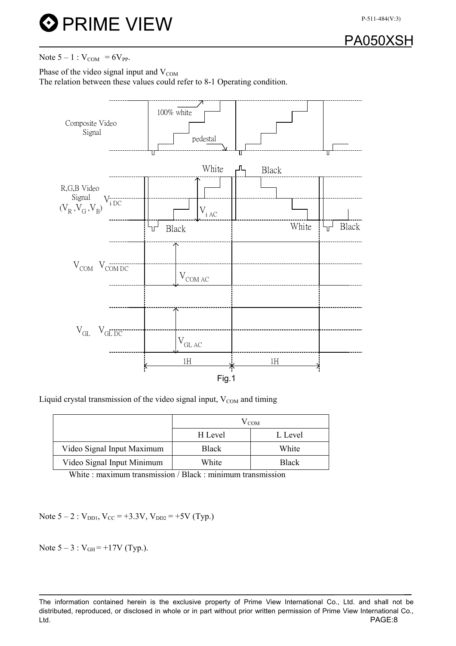

Note  $5 - 1$  :  $V_{COM} = 6V_{PP}$ .

Phase of the video signal input and  $V_{COM}$ 

The relation between these values could refer to 8-1 Operating condition.



Liquid crystal transmission of the video signal input,  $V_{COM}$  and timing

|                            |              | $\rm V_{COM}$ |
|----------------------------|--------------|---------------|
|                            | H Level      | L Level       |
| Video Signal Input Maximum | <b>Black</b> | White         |
| Video Signal Input Minimum | White        | <b>Black</b>  |

White : maximum transmission / Black : minimum transmission

Note  $5 - 2$ :  $V_{\text{DD1}}$ ,  $V_{\text{CC}} = +3.3 \text{V}$ ,  $V_{\text{DD2}} = +5 \text{V}$  (Typ.)

Note  $5 - 3$ :  $V_{GH} = +17V$  (Typ.).

The information contained herein is the exclusive property of Prime View International Co., Ltd. and shall not be distributed, reproduced, or disclosed in whole or in part without prior written permission of Prime View International Co., Ltd. PAGE:8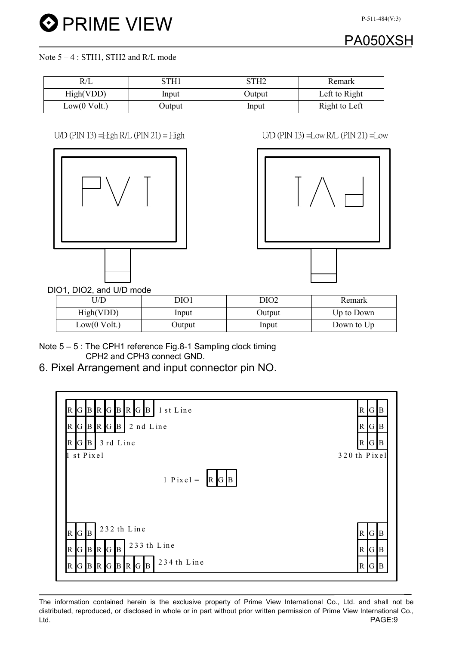# PA050XSH

#### Note  $5 - 4$ : STH1, STH2 and R/L mode

| K/L          | 3TH1   | STH2   | Remark        |
|--------------|--------|--------|---------------|
| High(VDD)    | Input  | Output | Left to Right |
| Low(0 Volt.) | Output | Input  | Right to Left |

#### $U/D$  (PIN 13) =High R/L (PIN 21) = High  $U/D$  (PIN 13) =Low R/L (PIN 21) =Low





DIO1, DIO2, and U/D mode

| J/D          | DIO1   | DIO2   | Remark     |
|--------------|--------|--------|------------|
| High(VDD)    | Input  | Output | Up to Down |
| Low(0 Volt.) | Output | Input  | Down to Up |

Note 5 – 5 : The CPH1 reference Fig.8-1 Sampling clock timing CPH2 and CPH3 connect GND.

6. Pixel Arrangement and input connector pin NO.

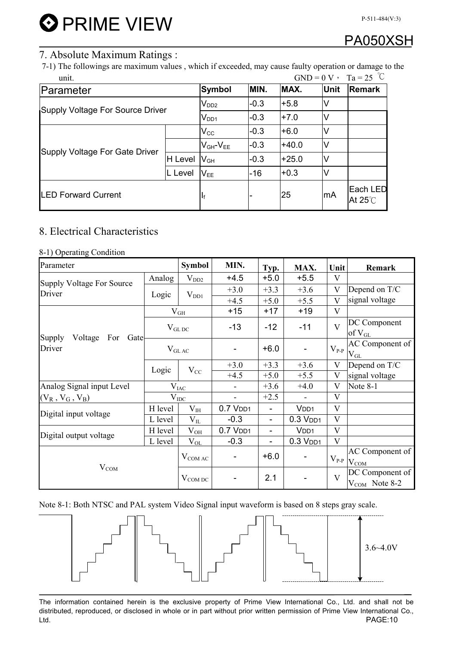# PA050XSH

P-511-484(V:3)

### 7. Absolute Maximum Ratings :

7-1) The followings are maximum values , which if exceeded, may cause faulty operation or damage to the unit.  $GND = 0 \text{ V}$ ,  $T_2 = 25 \text{ °C}$ 

| unit.                            |               |                            |        |             | $\mathbf{U}(\mathbf{V}) = \mathbf{U} \mathbf{V}$ $\mathbf{V} = \mathbf{A} \mathbf{A} - \mathbf{A} \mathbf{U} \mathbf{V}$ |  |
|----------------------------------|---------------|----------------------------|--------|-------------|--------------------------------------------------------------------------------------------------------------------------|--|
| Parameter                        | <b>Symbol</b> | MIN.                       | MAX.   | <b>Unit</b> | <b>Remark</b>                                                                                                            |  |
| Supply Voltage For Source Driver | $\rm V_{DD2}$ | $-0.3$                     | $+5.8$ | V           |                                                                                                                          |  |
|                                  | $V_{DD1}$     | $-0.3$                     | $+7.0$ |             |                                                                                                                          |  |
| Supply Voltage For Gate Driver   |               | $\mathsf{V}_{\mathsf{CC}}$ | $-0.3$ | $+6.0$      |                                                                                                                          |  |
|                                  |               | $V_{GH}$ - $V_{EE}$        | $-0.3$ | $+40.0$     |                                                                                                                          |  |
|                                  | H Level       | $\mathsf{V}_{\mathsf{GH}}$ | $-0.3$ | $+25.0$     |                                                                                                                          |  |
|                                  | L Level       | $V_{EE}$                   | $-16$  | $+0.3$      |                                                                                                                          |  |
| <b>LED Forward Current</b>       | Ιf            |                            | 25     | mA          | Each LED<br>At $25^{\circ}$ C                                                                                            |  |

### 8. Electrical Characteristics

#### 8-1) Operating Condition

| Parameter                               |               | <b>Symbol</b> | MIN.         | Typ.                         | MAX.             | Unit                    | Remark                                |
|-----------------------------------------|---------------|---------------|--------------|------------------------------|------------------|-------------------------|---------------------------------------|
| <b>Supply Voltage For Source</b>        | Analog        | $V_{DD2}$     | $+4.5$       | $+5.0$                       | $+5.5$           | V                       |                                       |
| Driver                                  | Logic         | $V_{DD1}$     | $+3.0$       | $+3.3$                       | $+3.6$           | $\overline{\mathsf{V}}$ | Depend on T/C                         |
|                                         |               |               | $+4.5$       | $+5.0$                       | $+5.5$           | $\mathbf{V}$            | signal voltage                        |
|                                         |               | $V_{GH}$      | $+15$        | $+17$                        | $+19$            | $\mathbf{V}$            |                                       |
|                                         |               | $V_{GL,DC}$   | $-13$        | $-12$                        | $-11$            | $\overline{\mathbf{V}}$ | DC Component<br>of $V_{GL}$           |
| Supply<br>Voltage For<br>Gate<br>Driver | $V_{GLAC}$    |               |              | $+6.0$                       |                  | $V_{P-P}$               | AC Component of<br>$V_{GL}$           |
|                                         | Logic         | $V_{CC}$      | $+3.0$       | $+3.3$                       | $+3.6$           | V                       | Depend on T/C                         |
|                                         |               |               | $+4.5$       | $+5.0$                       | $+5.5$           | $\overline{\mathsf{V}}$ | signal voltage                        |
| Analog Signal input Level               |               | $V_{IAC}$     |              | $+3.6$                       | $+4.0$           | $\overline{\mathsf{V}}$ | Note 8-1                              |
| $(V_R, V_G, V_B)$                       | $\rm V_{IDC}$ |               |              | $+2.5$                       |                  | $\overline{V}$          |                                       |
| Digital input voltage                   | H level       | $V_{IH}$      | $0.7$ $VDD1$ | $\qquad \qquad \blacksquare$ | V <sub>DD1</sub> | V                       |                                       |
|                                         | L level       | $\rm V_{II}$  | $-0.3$       | -                            | $0.3$ $VDD1$     | V                       |                                       |
| Digital output voltage                  | H level       | $V_{OH}$      | $0.7$ $VDD1$ |                              | V <sub>DD1</sub> | V                       |                                       |
|                                         | L level       | $\rm V_{OL}$  | $-0.3$       | $\qquad \qquad -$            | $0.3$ $VDD1$     | $\mathbf{V}$            |                                       |
| $V_{COM}$                               |               | $V_{COMAC}$   |              | $+6.0$                       |                  | $V_{P-P}$               | AC Component of<br>$V_{COM}$          |
|                                         |               | $V_{COM\,DC}$ |              | 2.1                          |                  | $\overline{\mathbf{V}}$ | DC Component of<br>$V_{COM}$ Note 8-2 |

Note 8-1: Both NTSC and PAL system Video Signal input waveform is based on 8 steps gray scale.

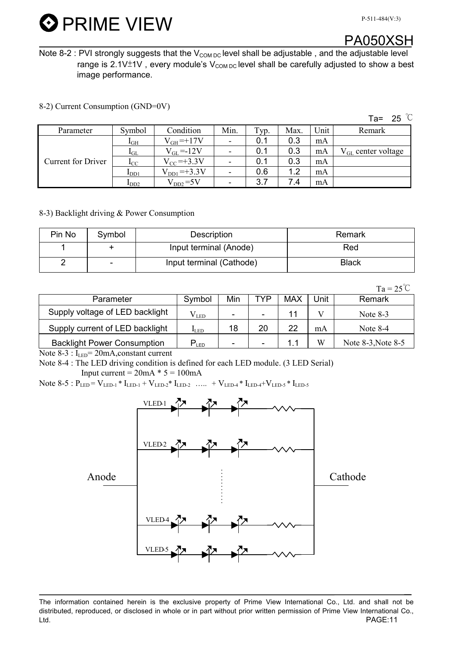

### PA050XSH

Note 8-2 : PVI strongly suggests that the  $V_{COM\,DC}$  level shall be adjustable, and the adjustable level range is 2.1V $\pm$ 1V, every module's V<sub>COM DC</sub> level shall be carefully adjusted to show a best image performance.

8-2) Current Consumption (GND=0V)

|                           |                       |                     |                          |      |      |      | Ta= 25 $\degree$ C             |
|---------------------------|-----------------------|---------------------|--------------------------|------|------|------|--------------------------------|
| Parameter                 | Symbol                | Condition           | Min.                     | Typ. | Max. | Unit | Remark                         |
|                           | 1 <sub>GH</sub>       | $V_{GH} = +17V$     |                          | 0.1  | 0.3  | mA   |                                |
|                           | $\mathbf{1}_{\rm GL}$ | $V_{GL} = -12V$     |                          | 0.1  | 0.3  | mA   | $V_{\text{GL}}$ center voltage |
| <b>Current for Driver</b> | $_{\rm{LC}}$          | $V_{\rm CC}$ =+3.3V |                          | 0.1  | 0.3  | mA   |                                |
|                           | $I_{DD1}$             | $V_{DD1} = +3.3V$   |                          | 0.6  | 1.2  | mA   |                                |
|                           | $\mathbf{I}_{DD2}$    | $V_{DD2} = 5V$      | $\overline{\phantom{0}}$ | 3.7  | 7.4  | mA   |                                |

8-3) Backlight driving & Power Consumption

| Pin No | Symbol                   | Description              | Remark       |
|--------|--------------------------|--------------------------|--------------|
|        |                          | Input terminal (Anode)   | Red          |
|        | $\overline{\phantom{0}}$ | Input terminal (Cathode) | <b>Black</b> |

 $Ta = 25^{\circ}C$ 

|                                    |                  |                          |                          |     |      | $\sim$             |
|------------------------------------|------------------|--------------------------|--------------------------|-----|------|--------------------|
| Parameter                          | Symbol           | Min                      | TYP                      | MAX | Unit | Remark             |
| Supply voltage of LED backlight    | V led            | $\overline{\phantom{0}}$ | $\overline{\phantom{a}}$ |     |      | Note $8-3$         |
| Supply current of LED backlight    | I <sub>LED</sub> | 18                       | 20                       | 22  | mA   | Note $8-4$         |
| <b>Backlight Power Consumption</b> | $P_{LED}$        | $\overline{\phantom{0}}$ | $\overline{\phantom{0}}$ |     | W    | Note 8-3, Note 8-5 |

Note 8-3 : I<sub>LED</sub>= 20mA, constant current

Note 8-4 : The LED driving condition is defined for each LED module. (3 LED Serial) Input current =  $20mA * 5 = 100mA$ 

Note 8-5 :  $P_{LED} = V_{LED-1} * I_{LED-1} + V_{LED-2} * I_{LED-2}$  ….. +  $V_{LED-4} * I_{LED-4} + V_{LED-5} * I_{LED-5}$ 



The information contained herein is the exclusive property of Prime View International Co., Ltd. and shall not be distributed, reproduced, or disclosed in whole or in part without prior written permission of Prime View International Co., Ltd. PAGE:11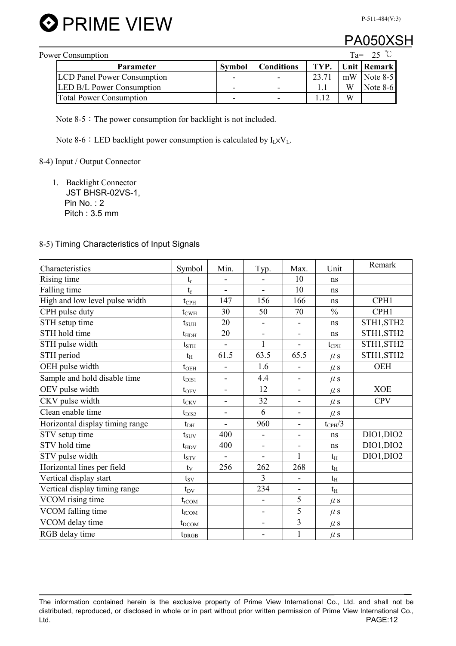

### PA050)

| Power Consumption | $Ta =$                             |                |                   |                |    |               |
|-------------------|------------------------------------|----------------|-------------------|----------------|----|---------------|
|                   | <b>Parameter</b>                   | <b>Symbol</b>  | <b>Conditions</b> | TYP.           |    | Unit   Remark |
|                   | <b>LCD Panel Power Consumption</b> | -              |                   | $23.7^{\circ}$ | mW | Note 8-5      |
|                   | <b>LED B/L Power Consumption</b>   | $\blacksquare$ |                   |                | W  | Note $8-6$    |
|                   | <b>Total Power Consumption</b>     | ۰              |                   |                | W  |               |

Note  $8-5$ : The power consumption for backlight is not included.

Note 8-6 : LED backlight power consumption is calculated by  $I_L \times V_L$ .

8-4) Input / Output Connector

1. Backlight Connector JST BHSR-02VS-1, Pin No. : 2 Pitch : 3.5 mm

#### 8-5) Timing Characteristics of Input Signals

| Characteristics                 | Symbol            | Min.                     | Typ.           | Max.                     | Unit               | Remark     |
|---------------------------------|-------------------|--------------------------|----------------|--------------------------|--------------------|------------|
| Rising time                     | $t_r$             |                          |                | 10                       | ns                 |            |
| Falling time                    | $t_f$             | $\overline{\phantom{0}}$ | $\blacksquare$ | 10                       | ns                 |            |
| High and low level pulse width  | $t_{\rm{CPH}}$    | 147                      | 156            | 166                      | ns                 | CPH1       |
| CPH pulse duty                  | $t_{\text{CWH}}$  | 30                       | 50             | 70                       | $\frac{0}{0}$      | CPH1       |
| STH setup time                  | $t_{\text{SUH}}$  | 20                       |                | $\overline{\phantom{0}}$ | ns                 | STH1, STH2 |
| STH hold time                   | $t_{\text{HDH}}$  | 20                       | $\blacksquare$ | -                        | ns                 | STH1, STH2 |
| STH pulse width                 | $t_{\rm STH}$     |                          | $\mathbf{1}$   | ÷,                       | $t_{\rm{CPH}}$     | STH1, STH2 |
| STH period                      | $t_H$             | 61.5                     | 63.5           | 65.5                     | $\mu$ s            | STH1, STH2 |
| OEH pulse width                 | $t_{OEH}$         | $\overline{a}$           | 1.6            |                          | $\mu$ s            | <b>OEH</b> |
| Sample and hold disable time    | $t_{\rm DIS1}$    | ä,                       | 4.4            | ÷,                       | $\mu$ s            |            |
| OEV pulse width                 | $t_{\rm OEV}$     | $\overline{a}$           | 12             | Ξ.                       | $\mu$ s            | <b>XOE</b> |
| CKV pulse width                 | $t_{CKV}$         | $\overline{\phantom{0}}$ | 32             | -                        | $\mu$ s            | <b>CPV</b> |
| Clean enable time               | $t_{\rm DIS2}$    | ۰                        | 6              | $\overline{\phantom{0}}$ | $\mu$ s            |            |
| Horizontal display timing range | $t_{DH}$          | $\overline{a}$           | 960            |                          | $t_{\text{CPH}}/3$ |            |
| STV setup time                  | $t_{\rm{SUV}}$    | 400                      | $\blacksquare$ | ۰                        | ns                 | DIO1, DIO2 |
| STV hold time                   | $t_{HDV}$         | 400                      | $\blacksquare$ | $\overline{\phantom{0}}$ | ns                 | DIO1, DIO2 |
| STV pulse width                 | $t_{STV}$         | $\overline{\phantom{0}}$ | $\blacksquare$ | $\mathbf{1}$             | $t_{\rm H}$        | DIO1, DIO2 |
| Horizontal lines per field      | $t_{V}$           | 256                      | 262            | 268                      | $t_{\rm H}$        |            |
| Vertical display start          | $t_{SV}$          |                          | 3              | $\overline{\phantom{0}}$ | $t_{\rm H}$        |            |
| Vertical display timing range   | $t_{\rm DV}$      |                          | 234            | -                        | $t_{\rm H}$        |            |
| VCOM rising time                | $t_{\rm rCOM}$    |                          |                | 5                        | $\mu$ s            |            |
| VCOM falling time               | $t_{\text{fCOM}}$ |                          | $\blacksquare$ | 5                        | $\mu$ s            |            |
| VCOM delay time                 | $t_{\text{DCOM}}$ |                          | $\blacksquare$ | $\overline{3}$           | $\mu$ s            |            |
| RGB delay time                  | $t_{DRGB}$        |                          |                | $\mathbf{1}$             | $\mu$ s            |            |

The information contained herein is the exclusive property of Prime View International Co., Ltd. and shall not be distributed, reproduced, or disclosed in whole or in part without prior written permission of Prime View International Co., Ltd. PAGE:12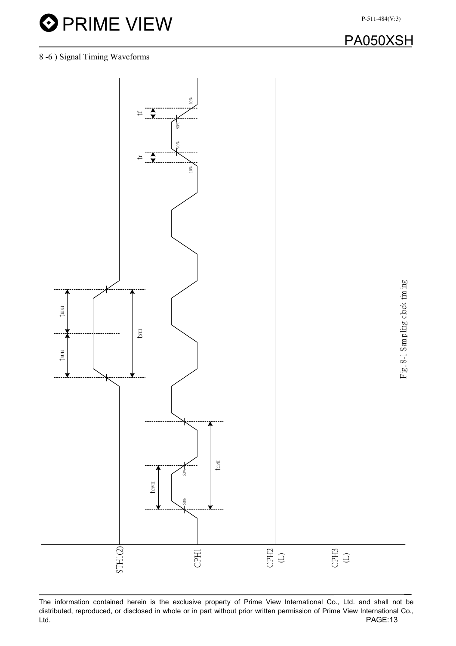$t_{\rm SUH}$   $t_{\rm HDH}$ 

 $t_{\text{SUH}}$ 

.Y

 $t_{\text{HDH}}$ 

STH1(2)



The information contained herein is the exclusive property of Prime View International Co., Ltd. and shall not be distributed, reproduced, or disclosed in whole or in part without prior written permission of Prime View International Co., Ltd. PAGE:13

˖ˣ˛˅ ʻ˟'

Œ<br>€∂

CPH1

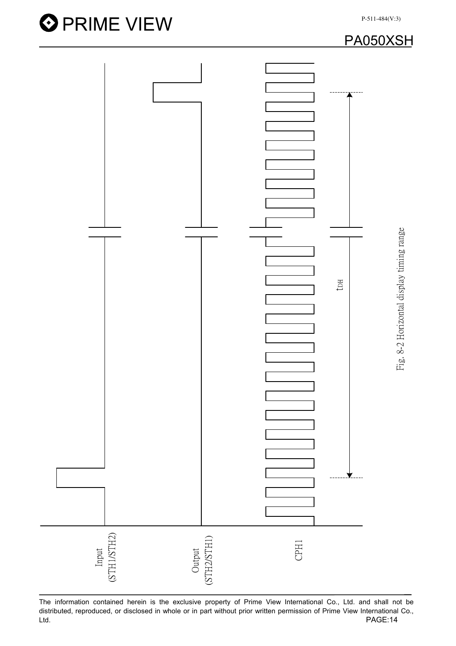

The information contained herein is the exclusive property of Prime View International Co., Ltd. and shall not be distributed, reproduced, or disclosed in whole or in part without prior written permission of Prime View International Co.,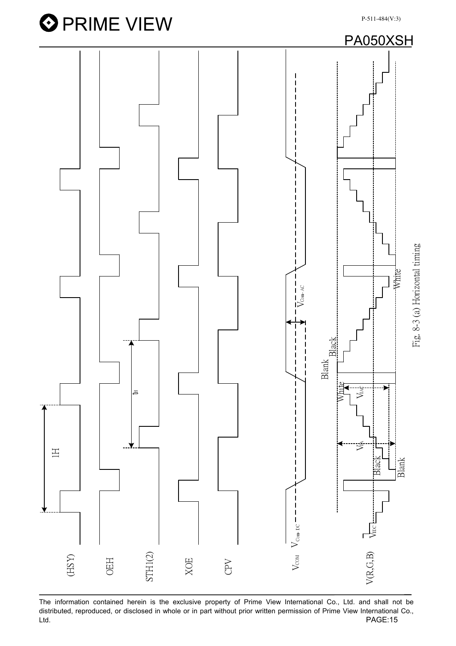

The information contained herein is the exclusive property of Prime View International Co., Ltd. and shall not be distributed, reproduced, or disclosed in whole or in part without prior written permission of Prime View International Co., Ltd. PAGE:15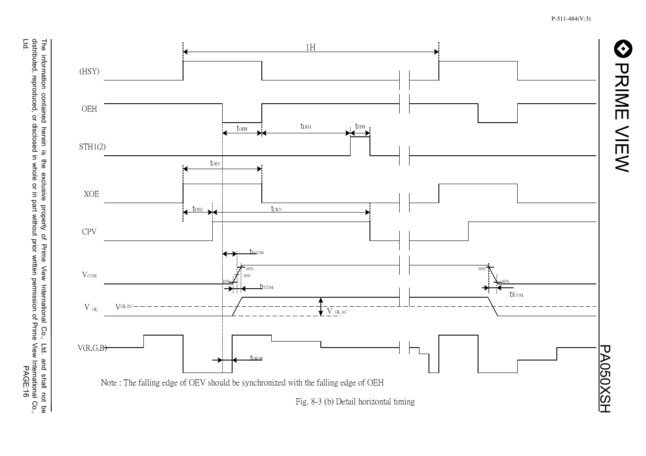**CONNINE VIEWS** 





Fig. 8-3 (b) Detail horizontal timing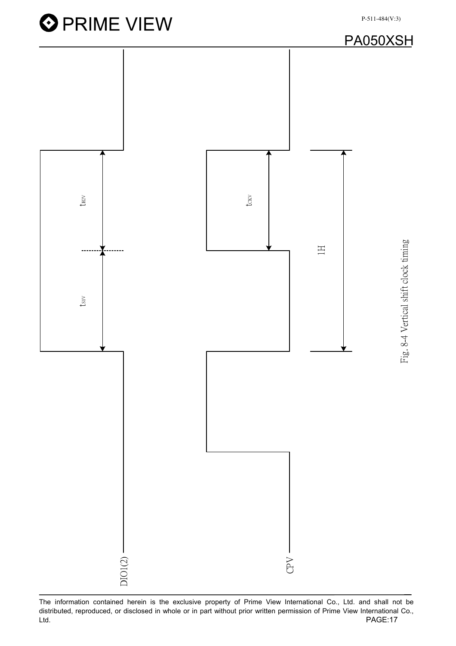**O** PRIME VIEW P-511-484(V:3)PA050XSH tosv  $t_{\rm H2V}$ tsiv the text Fig. 8-4 Vertical shift clock timing Hig. 8-4 Vertical shift clock timing ˄˛  $t_{\rm{SV}}$  $DIO1(2)$ CPV

The information contained herein is the exclusive property of Prime View International Co., Ltd. and shall not be distributed, reproduced, or disclosed in whole or in part without prior written permission of Prime View International Co., Ltd. PAGE:17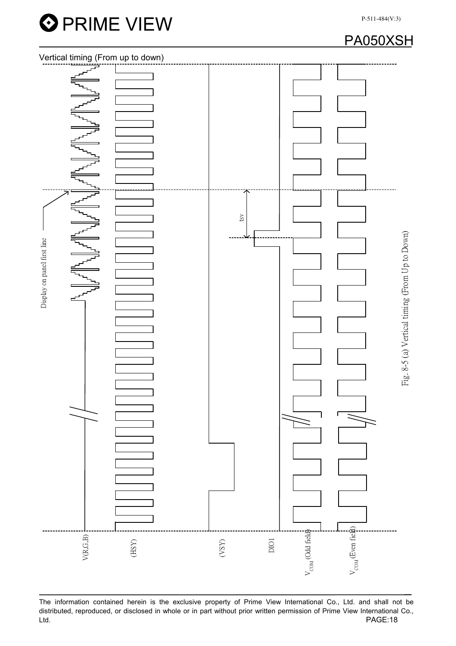





The information contained herein is the exclusive property of Prime View International Co., Ltd. and shall not be distributed, reproduced, or disclosed in whole or in part without prior written permission of Prime View International Co., Ltd. PAGE:18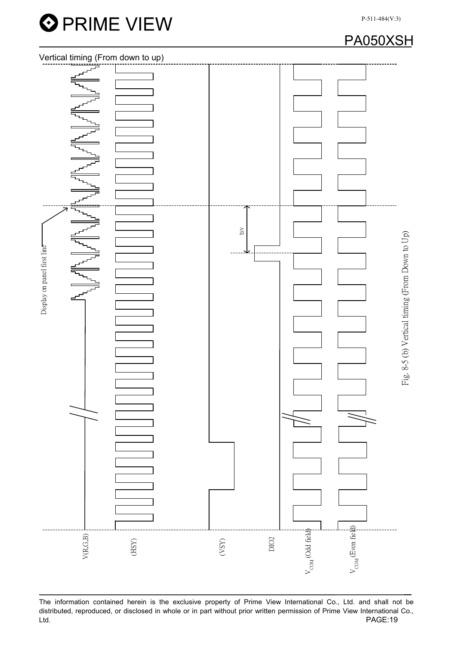

## PA050XSH



The information contained herein is the exclusive property of Prime View International Co., Ltd. and shall not be distributed, reproduced, or disclosed in whole or in part without prior written permission of Prime View International Co., Ltd. PAGE:19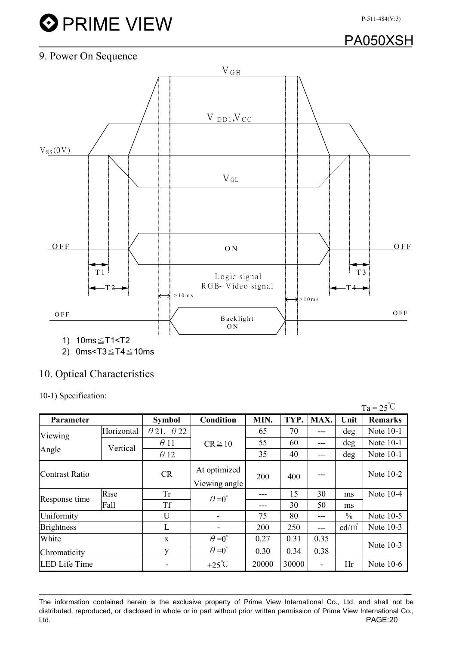# **O** PRIME VIEW

## PA050XSH

### 9. Power On Sequence



### 10. Optical Characteristics

10-1) Specification:

|                      |            |                          |                          |       |       |      |               | $Ta = 25^{\circ}C$ |  |
|----------------------|------------|--------------------------|--------------------------|-------|-------|------|---------------|--------------------|--|
| Parameter            |            | <b>Symbol</b>            | <b>Condition</b>         | MIN.  | TYP.  | MAX. | Unit          | <b>Remarks</b>     |  |
| Viewing              | Horizontal | $\theta$ 21, $\theta$ 22 |                          | 65    | 70    | ---  | deg           | Note 10-1          |  |
|                      | Vertical   | $\theta$ 11              | $CR \ge 10$              | 55    | 60    | ---  | deg           | Note 10-1          |  |
| Angle                |            | $\theta$ 12              |                          | 35    | 40    | ---  | $\deg$        | Note 10-1          |  |
| Contrast Ratio       |            | <b>CR</b>                | At optimized             | 200   | 400   |      |               | Note 10-2          |  |
|                      |            |                          | Viewing angle            |       |       |      |               |                    |  |
| Response time        | Rise       | <b>Tr</b>                | $\theta = 0^{\circ}$     | ---   | 15    | 30   | ms            | Note $10-4$        |  |
|                      | Fall       | <b>Tf</b>                |                          | ---   | 30    | 50   | ms            |                    |  |
| Uniformity           |            | U                        | $\overline{\phantom{a}}$ | 75    | 80    | ---  | $\frac{0}{0}$ | Note $10-5$        |  |
| <b>Brightness</b>    |            | L                        | ٠                        | 200   | 250   | ---  | $cd/m^2$      | Note $10-3$        |  |
| White                |            | $\mathbf X$              | $\theta = 0^{\circ}$     | 0.27  | 0.31  | 0.35 |               |                    |  |
| Chromaticity         |            | y                        | $\theta = 0^{\circ}$     | 0.30  | 0.34  | 0.38 |               | Note 10-3          |  |
| <b>LED Life Time</b> |            |                          | $+25^{\circ}C$           | 20000 | 30000 | -    | Hr            | Note $10-6$        |  |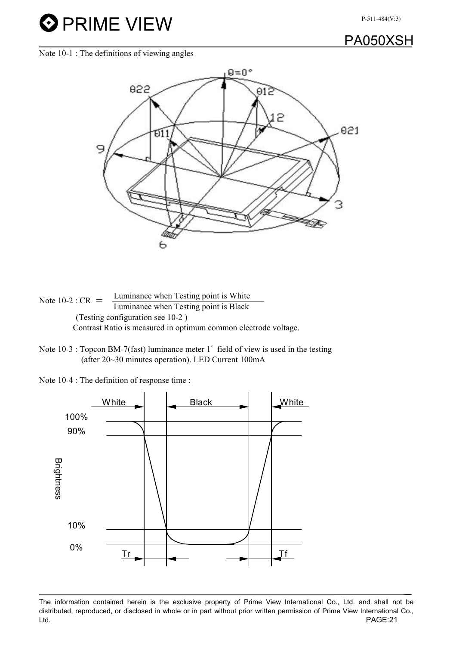## PA050XSH

Note 10-1 : The definitions of viewing angles

**O** PRIME VIEW



Note 10-2 :  $CR =$  Luminance when Testing point is White Luminance when Testing point is Black (Testing configuration see 10-2 ) Contrast Ratio is measured in optimum common electrode voltage.

Note 10-3 : Topcon BM-7(fast) luminance meter 1<sup>°</sup> field of view is used in the testing (after 20~30 minutes operation). LED Current 100mA

Note 10-4 : The definition of response time :



The information contained herein is the exclusive property of Prime View International Co., Ltd. and shall not be distributed, reproduced, or disclosed in whole or in part without prior written permission of Prime View International Co., Ltd. PAGE:21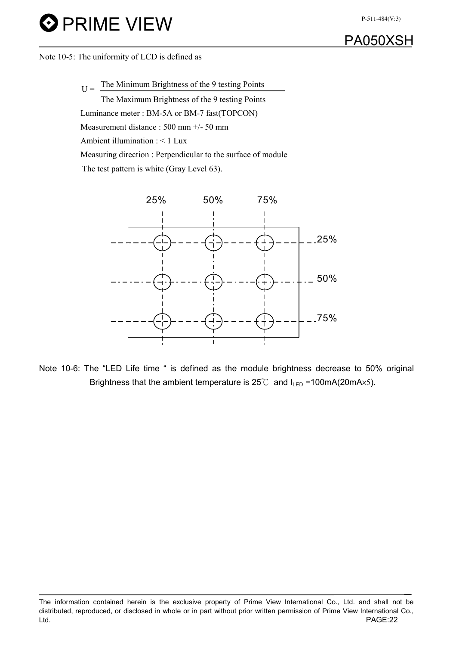# **O** PRIME VIEW



Note 10-5: The uniformity of LCD is defined as

 $U =$  The Minimum Brightness of the 9 testing Points The Maximum Brightness of the 9 testing Points Luminance meter : BM-5A or BM-7 fast(TOPCON)

Measurement distance : 500 mm +/- 50 mm

Ambient illumination : < 1 Lux

Measuring direction : Perpendicular to the surface of module

The test pattern is white (Gray Level 63).



Note 10-6: The "LED Life time " is defined as the module brightness decrease to 50% original Brightness that the ambient temperature is  $25^{\circ}$  and  $I_{LED} = 100$ mA(20mA $\times$ 5).

The information contained herein is the exclusive property of Prime View International Co., Ltd. and shall not be distributed, reproduced, or disclosed in whole or in part without prior written permission of Prime View International Co., Ltd. PAGE:22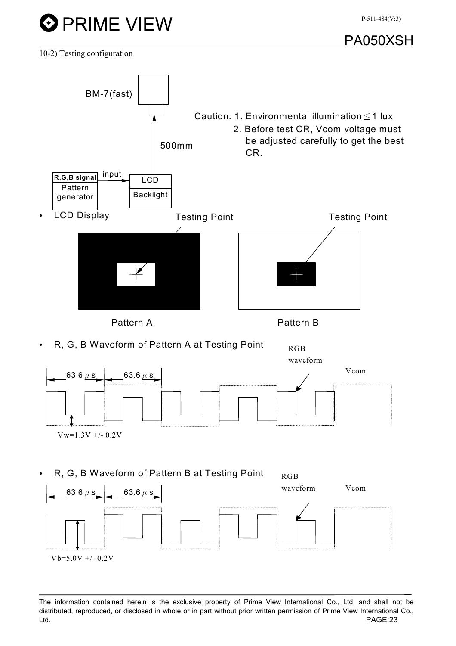



10-2) Testing configuration

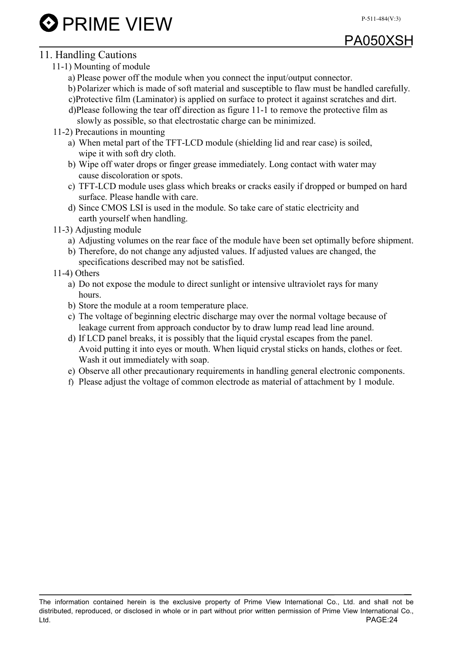# PA050XSH

### 11. Handling Cautions

- 11-1) Mounting of module
	- a) Please power off the module when you connect the input/output connector.
	- b) Polarizer which is made of soft material and susceptible to flaw must be handled carefully. c)Protective film (Laminator) is applied on surface to protect it against scratches and dirt.
	- d)Please following the tear off direction as figure 11-1 to remove the protective film as slowly as possible, so that electrostatic charge can be minimized.
- 11-2) Precautions in mounting
	- a) When metal part of the TFT-LCD module (shielding lid and rear case) is soiled, wipe it with soft dry cloth.
	- b) Wipe off water drops or finger grease immediately. Long contact with water may cause discoloration or spots.
	- c) TFT-LCD module uses glass which breaks or cracks easily if dropped or bumped on hard surface. Please handle with care.
	- d) Since CMOS LSI is used in the module. So take care of static electricity and earth yourself when handling.
- 11-3) Adjusting module
	- a) Adjusting volumes on the rear face of the module have been set optimally before shipment.
	- b) Therefore, do not change any adjusted values. If adjusted values are changed, the specifications described may not be satisfied.
- 11-4) Others
	- a) Do not expose the module to direct sunlight or intensive ultraviolet rays for many hours.
	- b) Store the module at a room temperature place.
	- c) The voltage of beginning electric discharge may over the normal voltage because of leakage current from approach conductor by to draw lump read lead line around.
	- d) If LCD panel breaks, it is possibly that the liquid crystal escapes from the panel. Avoid putting it into eyes or mouth. When liquid crystal sticks on hands, clothes or feet. Wash it out immediately with soap.
	- e) Observe all other precautionary requirements in handling general electronic components.
	- f) Please adjust the voltage of common electrode as material of attachment by 1 module.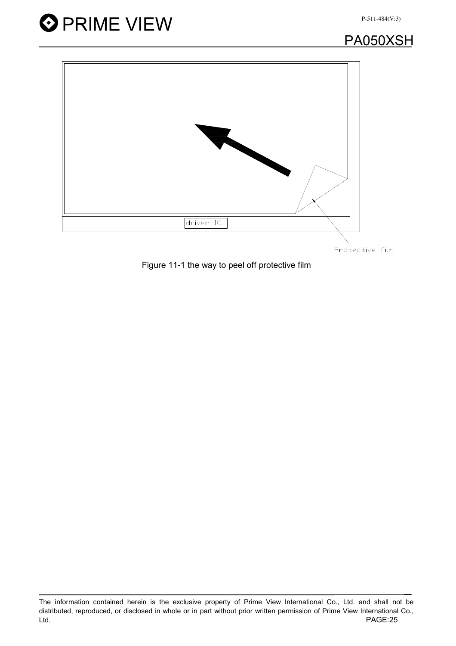



PA050XSH



Protective film

Figure 11-1 the way to peel off protective film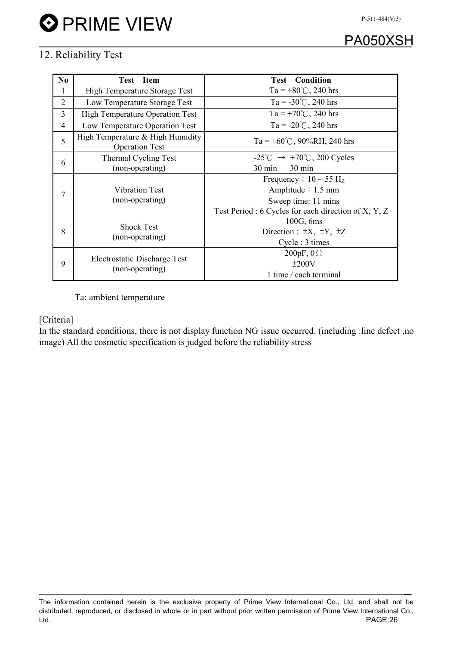# PA050XSH

### 12. Reliability Test

| No             | <b>Test</b> Item                                          | <b>Test Condition</b>                                      |  |  |  |  |  |
|----------------|-----------------------------------------------------------|------------------------------------------------------------|--|--|--|--|--|
| 1              | High Temperature Storage Test                             | Ta = +80°C, 240 hrs                                        |  |  |  |  |  |
| $\overline{2}$ | Low Temperature Storage Test                              | Ta = $-30^{\circ}$ C, 240 hrs                              |  |  |  |  |  |
| $\overline{3}$ | <b>High Temperature Operation Test</b>                    | Ta = +70°C, 240 hrs                                        |  |  |  |  |  |
| $\overline{4}$ | Low Temperature Operation Test                            | Ta = $-20^{\circ}$ C, 240 hrs                              |  |  |  |  |  |
| 5              | High Temperature & High Humidity<br><b>Operation Test</b> | Ta = $+60^{\circ}$ C, 90%RH, 240 hrs                       |  |  |  |  |  |
| 6              | Thermal Cycling Test                                      | $-25^{\circ}$ C $\rightarrow$ +70 $^{\circ}$ C, 200 Cycles |  |  |  |  |  |
|                | (non-operating)                                           | $30 \text{ min}$<br>30 min                                 |  |  |  |  |  |
|                |                                                           | Frequency : $10 \sim 55$ H <sub>z</sub>                    |  |  |  |  |  |
| 7              | <b>Vibration Test</b><br>(non-operating)                  | Amplitude $: 1.5$ mm                                       |  |  |  |  |  |
|                |                                                           | Sweep time: 11 mins                                        |  |  |  |  |  |
|                |                                                           | Test Period : 6 Cycles for each direction of X, Y, Z       |  |  |  |  |  |
|                |                                                           | 100G, 6ms                                                  |  |  |  |  |  |
| 8              | <b>Shock Test</b>                                         | Direction : $\pm X$ , $\pm Y$ , $\pm Z$                    |  |  |  |  |  |
|                | (non-operating)                                           | Cycle : 3 times                                            |  |  |  |  |  |
|                |                                                           | 200pF, $0\Omega$                                           |  |  |  |  |  |
| 9              | Electrostatic Discharge Test                              | ±200V                                                      |  |  |  |  |  |
|                | (non-operating)                                           | 1 time / each terminal                                     |  |  |  |  |  |

Ta: ambient temperature

#### [Criteria]

In the standard conditions, there is not display function NG issue occurred. (including :line defect ,no image) All the cosmetic specification is judged before the reliability stress

The information contained herein is the exclusive property of Prime View International Co., Ltd. and shall not be distributed, reproduced, or disclosed in whole or in part without prior written permission of Prime View International Co., Ltd. PAGE:26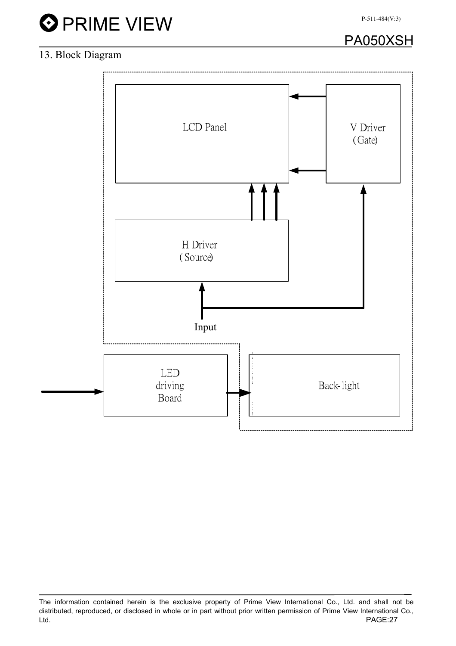# **O** PRIME VIEW

PA050XSH

### 13. Block Diagram



The information contained herein is the exclusive property of Prime View International Co., Ltd. and shall not be distributed, reproduced, or disclosed in whole or in part without prior written permission of Prime View International Co., Ltd. PAGE:27